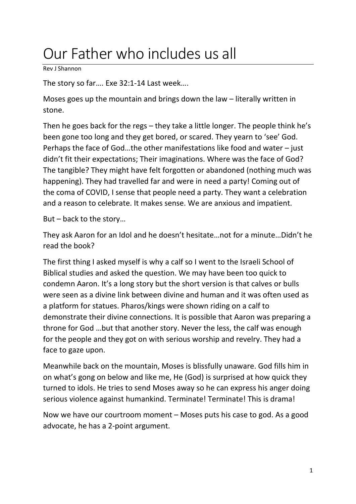## Our Father who includes us all

Rev J Shannon

The story so far…. Exe 32:1-14 Last week….

Moses goes up the mountain and brings down the law – literally written in stone.

Then he goes back for the regs – they take a little longer. The people think he's been gone too long and they get bored, or scared. They yearn to 'see' God. Perhaps the face of God…the other manifestations like food and water – just didn't fit their expectations; Their imaginations. Where was the face of God? The tangible? They might have felt forgotten or abandoned (nothing much was happening). They had travelled far and were in need a party! Coming out of the coma of COVID, I sense that people need a party. They want a celebration and a reason to celebrate. It makes sense. We are anxious and impatient.

But – back to the story…

They ask Aaron for an Idol and he doesn't hesitate…not for a minute…Didn't he read the book?

The first thing I asked myself is why a calf so I went to the Israeli School of Biblical studies and asked the question. We may have been too quick to condemn Aaron. It's a long story but the short version is that calves or bulls were seen as a divine link between divine and human and it was often used as a platform for statues. Pharos/kings were shown riding on a calf to demonstrate their divine connections. It is possible that Aaron was preparing a throne for God …but that another story. Never the less, the calf was enough for the people and they got on with serious worship and revelry. They had a face to gaze upon.

Meanwhile back on the mountain, Moses is blissfully unaware. God fills him in on what's gong on below and like me, He (God) is surprised at how quick they turned to idols. He tries to send Moses away so he can express his anger doing serious violence against humankind. Terminate! Terminate! This is drama!

Now we have our courtroom moment – Moses puts his case to god. As a good advocate, he has a 2-point argument.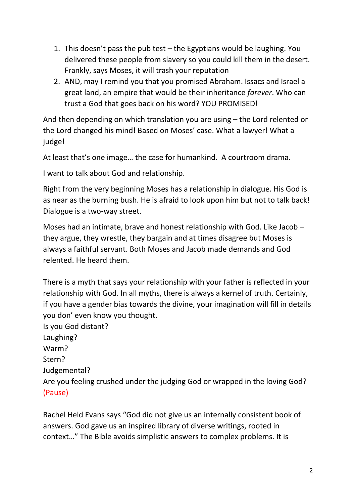- 1. This doesn't pass the pub test the Egyptians would be laughing. You delivered these people from slavery so you could kill them in the desert. Frankly, says Moses, it will trash your reputation
- 2. AND, may I remind you that you promised Abraham. Issacs and Israel a great land, an empire that would be their inheritance *forever*. Who can trust a God that goes back on his word? YOU PROMISED!

And then depending on which translation you are using – the Lord relented or the Lord changed his mind! Based on Moses' case. What a lawyer! What a judge!

At least that's one image… the case for humankind. A courtroom drama.

I want to talk about God and relationship.

Right from the very beginning Moses has a relationship in dialogue. His God is as near as the burning bush. He is afraid to look upon him but not to talk back! Dialogue is a two-way street.

Moses had an intimate, brave and honest relationship with God. Like Jacob – they argue, they wrestle, they bargain and at times disagree but Moses is always a faithful servant. Both Moses and Jacob made demands and God relented. He heard them.

There is a myth that says your relationship with your father is reflected in your relationship with God. In all myths, there is always a kernel of truth. Certainly, if you have a gender bias towards the divine, your imagination will fill in details you don' even know you thought. Is you God distant? Laughing? Warm? Stern? Judgemental? Are you feeling crushed under the judging God or wrapped in the loving God? (Pause)

Rachel Held Evans says "God did not give us an internally consistent book of answers. God gave us an inspired library of diverse writings, rooted in context…" The Bible avoids simplistic answers to complex problems. It is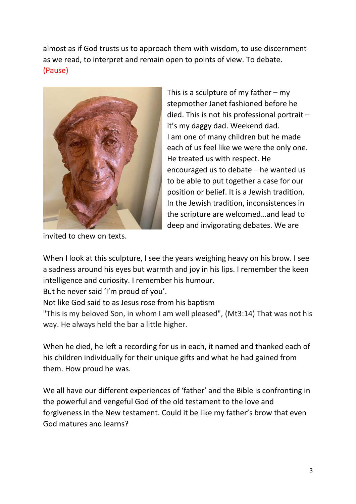almost as if God trusts us to approach them with wisdom, to use discernment as we read, to interpret and remain open to points of view. To debate. (Pause)



This is a sculpture of my father  $-$  my stepmother Janet fashioned before he died. This is not his professional portrait – it's my daggy dad. Weekend dad. I am one of many children but he made each of us feel like we were the only one. He treated us with respect. He encouraged us to debate – he wanted us to be able to put together a case for our position or belief. It is a Jewish tradition. In the Jewish tradition, inconsistences in the scripture are welcomed…and lead to deep and invigorating debates. We are

invited to chew on texts.

When I look at this sculpture, I see the years weighing heavy on his brow. I see a sadness around his eyes but warmth and joy in his lips. I remember the keen intelligence and curiosity. I remember his humour.

But he never said 'I'm proud of you'.

Not like God said to as Jesus rose from his baptism

"This is my beloved Son, in whom I am well pleased", (Mt3:14) That was not his way. He always held the bar a little higher.

When he died, he left a recording for us in each, it named and thanked each of his children individually for their unique gifts and what he had gained from them. How proud he was.

We all have our different experiences of 'father' and the Bible is confronting in the powerful and vengeful God of the old testament to the love and forgiveness in the New testament. Could it be like my father's brow that even God matures and learns?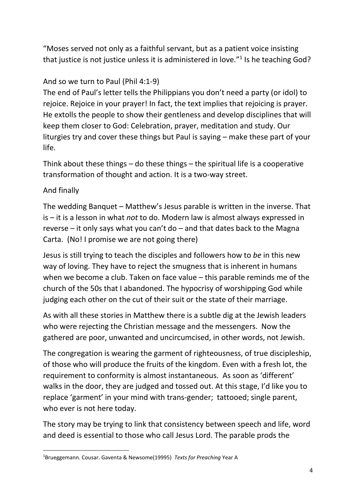"Moses served not only as a faithful servant, but as a patient voice insisting that justice is not justice unless it is administered in love."<sup>1</sup> Is he teaching God?

## And so we turn to Paul (Phil 4:1-9)

The end of Paul's letter tells the Philippians you don't need a party (or idol) to rejoice. Rejoice in your prayer! In fact, the text implies that rejoicing is prayer. He extolls the people to show their gentleness and develop disciplines that will keep them closer to God: Celebration, prayer, meditation and study. Our liturgies try and cover these things but Paul is saying – make these part of your life.

Think about these things – do these things – the spiritual life is a cooperative transformation of thought and action. It is a two-way street.

## And finally

The wedding Banquet – Matthew's Jesus parable is written in the inverse. That is – it is a lesson in what *not* to do. Modern law is almost always expressed in reverse – it only says what you can't do – and that dates back to the Magna Carta. (No! I promise we are not going there)

Jesus is still trying to teach the disciples and followers how to *be* in this new way of loving. They have to reject the smugness that is inherent in humans when we become a club. Taken on face value – this parable reminds me of the church of the 50s that I abandoned. The hypocrisy of worshipping God while judging each other on the cut of their suit or the state of their marriage.

As with all these stories in Matthew there is a subtle dig at the Jewish leaders who were rejecting the Christian message and the messengers. Now the gathered are poor, unwanted and uncircumcised, in other words, not Jewish.

The congregation is wearing the garment of righteousness, of true discipleship, of those who will produce the fruits of the kingdom. Even with a fresh lot, the requirement to conformity is almost instantaneous. As soon as 'different' walks in the door, they are judged and tossed out. At this stage, I'd like you to replace 'garment' in your mind with trans-gender; tattooed; single parent, who ever is not here today.

The story may be trying to link that consistency between speech and life, word and deed is essential to those who call Jesus Lord. The parable prods the

<sup>1</sup>Brueggemann. Cousar. Gaventa & Newsome(19995) *Texts for Preaching* Year A